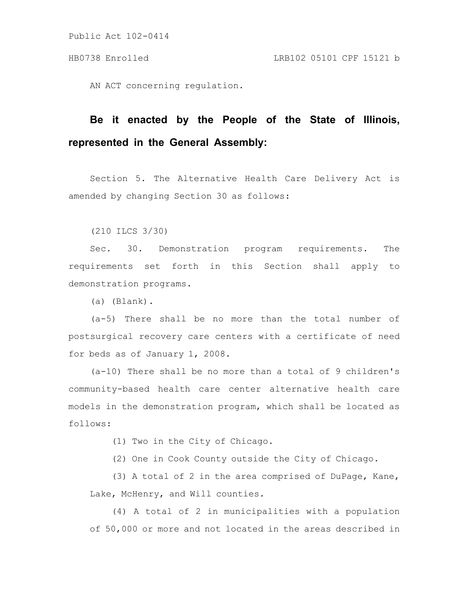AN ACT concerning regulation.

## **Be it enacted by the People of the State of Illinois, represented in the General Assembly:**

Section 5. The Alternative Health Care Delivery Act is amended by changing Section 30 as follows:

(210 ILCS 3/30)

Sec. 30. Demonstration program requirements. The requirements set forth in this Section shall apply to demonstration programs.

(a) (Blank).

(a-5) There shall be no more than the total number of postsurgical recovery care centers with a certificate of need for beds as of January 1, 2008.

(a-10) There shall be no more than a total of 9 children's community-based health care center alternative health care models in the demonstration program, which shall be located as follows:

(1) Two in the City of Chicago.

(2) One in Cook County outside the City of Chicago.

(3) A total of 2 in the area comprised of DuPage, Kane, Lake, McHenry, and Will counties.

(4) A total of 2 in municipalities with a population of 50,000 or more and not located in the areas described in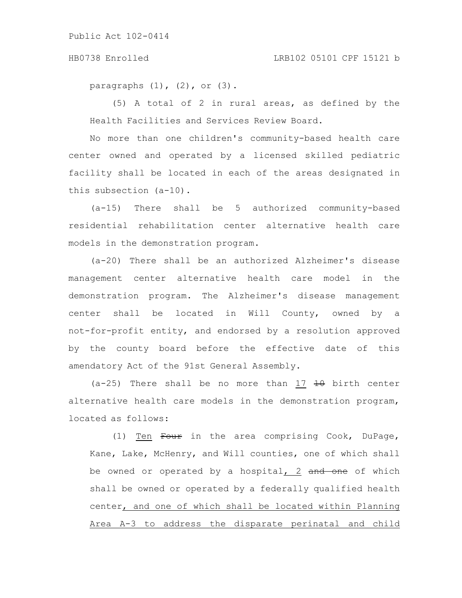## HB0738 Enrolled LRB102 05101 CPF 15121 b

paragraphs  $(1)$ ,  $(2)$ , or  $(3)$ .

(5) A total of 2 in rural areas, as defined by the Health Facilities and Services Review Board.

No more than one children's community-based health care center owned and operated by a licensed skilled pediatric facility shall be located in each of the areas designated in this subsection (a-10).

(a-15) There shall be 5 authorized community-based residential rehabilitation center alternative health care models in the demonstration program.

(a-20) There shall be an authorized Alzheimer's disease management center alternative health care model in the demonstration program. The Alzheimer's disease management center shall be located in Will County, owned by a not-for-profit entity, and endorsed by a resolution approved by the county board before the effective date of this amendatory Act of the 91st General Assembly.

 $(a-25)$  There shall be no more than 17  $\overline{10}$  birth center alternative health care models in the demonstration program, located as follows:

(1) Ten Four in the area comprising Cook, DuPage, Kane, Lake, McHenry, and Will counties, one of which shall be owned or operated by a hospital, 2 and one of which shall be owned or operated by a federally qualified health center, and one of which shall be located within Planning Area A-3 to address the disparate perinatal and child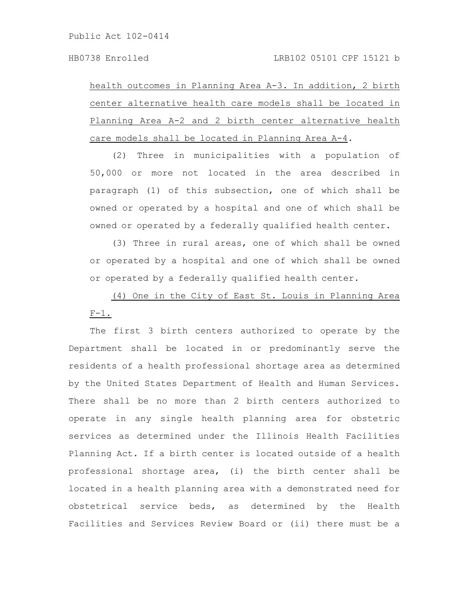health outcomes in Planning Area A-3. In addition, 2 birth center alternative health care models shall be located in Planning Area A-2 and 2 birth center alternative health care models shall be located in Planning Area A-4.

(2) Three in municipalities with a population of 50,000 or more not located in the area described in paragraph (1) of this subsection, one of which shall be owned or operated by a hospital and one of which shall be owned or operated by a federally qualified health center.

(3) Three in rural areas, one of which shall be owned or operated by a hospital and one of which shall be owned or operated by a federally qualified health center.

(4) One in the City of East St. Louis in Planning Area  $F-1$ .

The first 3 birth centers authorized to operate by the Department shall be located in or predominantly serve the residents of a health professional shortage area as determined by the United States Department of Health and Human Services. There shall be no more than 2 birth centers authorized to operate in any single health planning area for obstetric services as determined under the Illinois Health Facilities Planning Act. If a birth center is located outside of a health professional shortage area, (i) the birth center shall be located in a health planning area with a demonstrated need for obstetrical service beds, as determined by the Health Facilities and Services Review Board or (ii) there must be a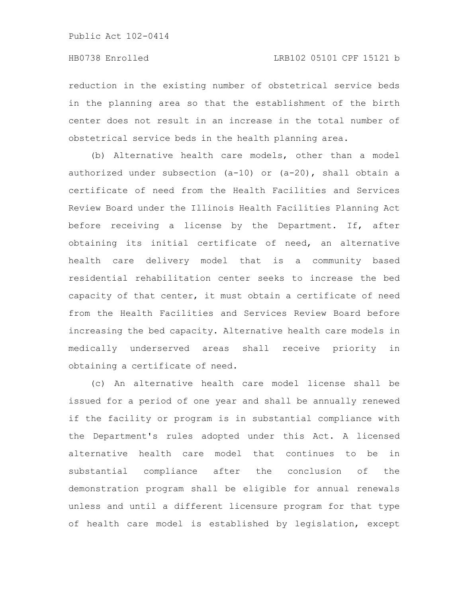reduction in the existing number of obstetrical service beds in the planning area so that the establishment of the birth center does not result in an increase in the total number of obstetrical service beds in the health planning area.

(b) Alternative health care models, other than a model authorized under subsection (a-10) or (a-20), shall obtain a certificate of need from the Health Facilities and Services Review Board under the Illinois Health Facilities Planning Act before receiving a license by the Department. If, after obtaining its initial certificate of need, an alternative health care delivery model that is a community based residential rehabilitation center seeks to increase the bed capacity of that center, it must obtain a certificate of need from the Health Facilities and Services Review Board before increasing the bed capacity. Alternative health care models in medically underserved areas shall receive priority in obtaining a certificate of need.

(c) An alternative health care model license shall be issued for a period of one year and shall be annually renewed if the facility or program is in substantial compliance with the Department's rules adopted under this Act. A licensed alternative health care model that continues to be in substantial compliance after the conclusion of the demonstration program shall be eligible for annual renewals unless and until a different licensure program for that type of health care model is established by legislation, except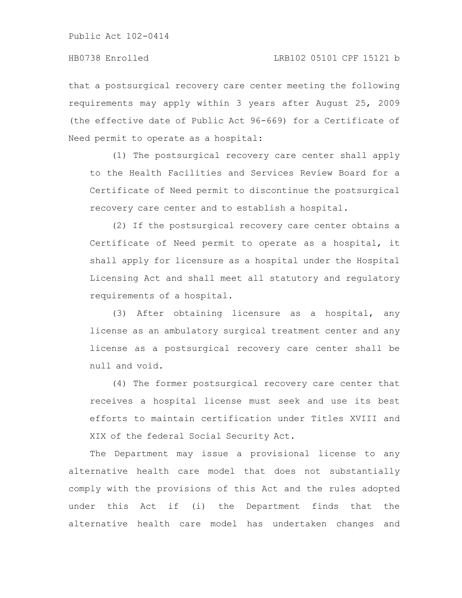that a postsurgical recovery care center meeting the following requirements may apply within 3 years after August 25, 2009 (the effective date of Public Act 96-669) for a Certificate of Need permit to operate as a hospital:

(1) The postsurgical recovery care center shall apply to the Health Facilities and Services Review Board for a Certificate of Need permit to discontinue the postsurgical recovery care center and to establish a hospital.

(2) If the postsurgical recovery care center obtains a Certificate of Need permit to operate as a hospital, it shall apply for licensure as a hospital under the Hospital Licensing Act and shall meet all statutory and regulatory requirements of a hospital.

(3) After obtaining licensure as a hospital, any license as an ambulatory surgical treatment center and any license as a postsurgical recovery care center shall be null and void.

(4) The former postsurgical recovery care center that receives a hospital license must seek and use its best efforts to maintain certification under Titles XVIII and XIX of the federal Social Security Act.

The Department may issue a provisional license to any alternative health care model that does not substantially comply with the provisions of this Act and the rules adopted under this Act if (i) the Department finds that the alternative health care model has undertaken changes and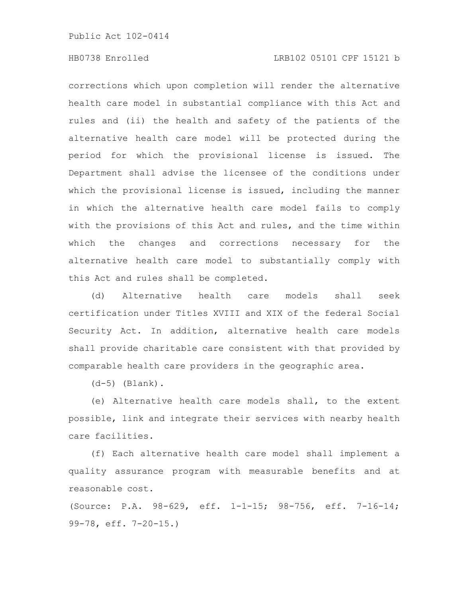## HB0738 Enrolled LRB102 05101 CPF 15121 b

corrections which upon completion will render the alternative health care model in substantial compliance with this Act and rules and (ii) the health and safety of the patients of the alternative health care model will be protected during the period for which the provisional license is issued. The Department shall advise the licensee of the conditions under which the provisional license is issued, including the manner in which the alternative health care model fails to comply with the provisions of this Act and rules, and the time within which the changes and corrections necessary for the alternative health care model to substantially comply with this Act and rules shall be completed.

(d) Alternative health care models shall seek certification under Titles XVIII and XIX of the federal Social Security Act. In addition, alternative health care models shall provide charitable care consistent with that provided by comparable health care providers in the geographic area.

(d-5) (Blank).

(e) Alternative health care models shall, to the extent possible, link and integrate their services with nearby health care facilities.

(f) Each alternative health care model shall implement a quality assurance program with measurable benefits and at reasonable cost.

(Source: P.A. 98-629, eff. 1-1-15; 98-756, eff. 7-16-14; 99-78, eff. 7-20-15.)